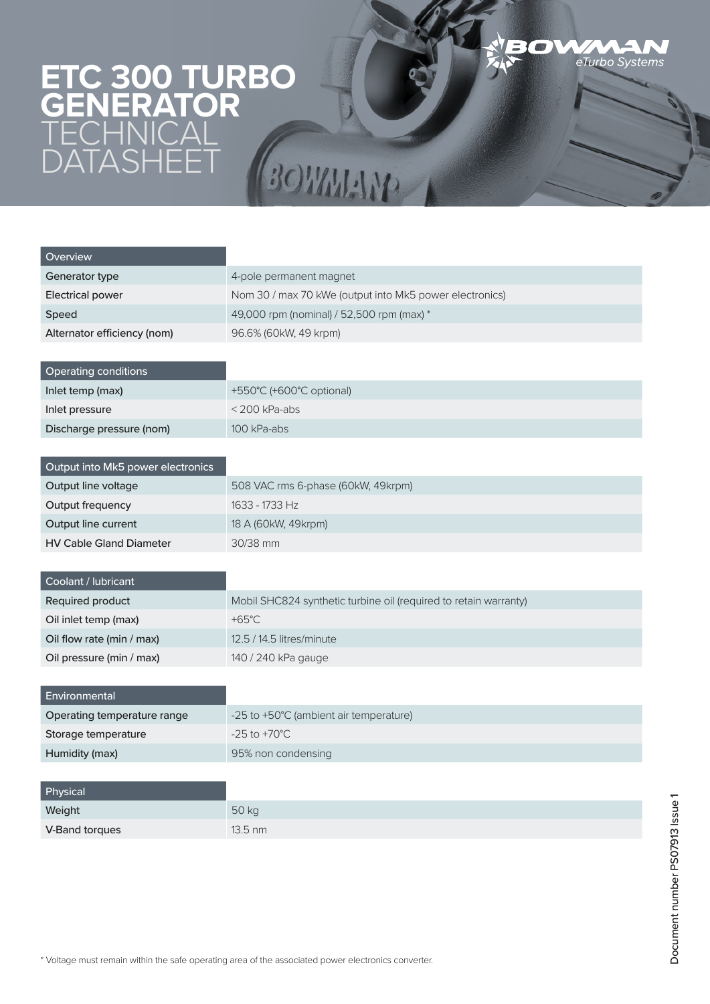## **ETC 300 TURBO GENERATOR TECHNICAL** DATASHEET BOWNAM

| Overview                          |                                                                  |
|-----------------------------------|------------------------------------------------------------------|
| Generator type                    | 4-pole permanent magnet                                          |
|                                   | Nom 30 / max 70 kWe (output into Mk5 power electronics)          |
| <b>Electrical power</b>           |                                                                  |
| Speed                             | 49,000 rpm (nominal) / 52,500 rpm (max) *                        |
| Alternator efficiency (nom)       | 96.6% (60kW, 49 krpm)                                            |
|                                   |                                                                  |
| Operating conditions              |                                                                  |
| Inlet temp (max)                  | +550°C (+600°C optional)                                         |
| Inlet pressure                    | $<$ 200 kPa-abs                                                  |
| Discharge pressure (nom)          | 100 kPa-abs                                                      |
|                                   |                                                                  |
| Output into Mk5 power electronics |                                                                  |
| Output line voltage               | 508 VAC rms 6-phase (60kW, 49krpm)                               |
| Output frequency                  | 1633 - 1733 Hz                                                   |
| Output line current               | 18 A (60kW, 49krpm)                                              |
| <b>HV Cable Gland Diameter</b>    | 30/38 mm                                                         |
|                                   |                                                                  |
| Coolant / lubricant               |                                                                  |
| Required product                  | Mobil SHC824 synthetic turbine oil (required to retain warranty) |
| Oil inlet temp (max)              | $+65^{\circ}$ C                                                  |
| Oil flow rate (min / max)         | 12.5 / 14.5 litres/minute                                        |
| Oil pressure (min / max)          | 140 / 240 kPa gauge                                              |
|                                   |                                                                  |
| Environmental                     |                                                                  |
| Operating temperature range       | -25 to +50°C (ambient air temperature)                           |
| Storage temperature               | $-25$ to $+70^{\circ}$ C                                         |
| Humidity (max)                    | 95% non condensing                                               |
|                                   |                                                                  |
| Physical                          |                                                                  |
|                                   |                                                                  |

BOV

eTurbo Systems

| Weight         | 50 kg             |
|----------------|-------------------|
| V-Band torques | $13.5 \text{ nm}$ |